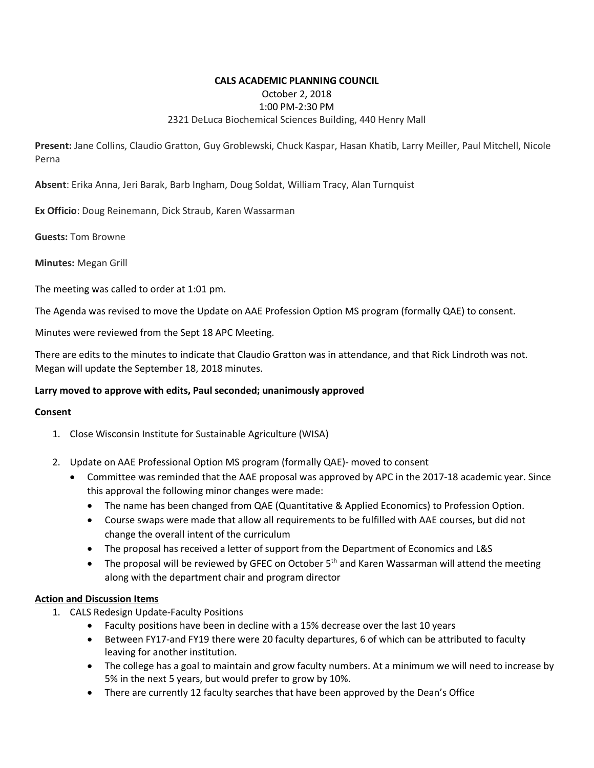# **CALS ACADEMIC PLANNING COUNCIL** October 2, 2018 1:00 PM-2:30 PM 2321 DeLuca Biochemical Sciences Building, 440 Henry Mall

**Present:** Jane Collins, Claudio Gratton, Guy Groblewski, Chuck Kaspar, Hasan Khatib, Larry Meiller, Paul Mitchell, Nicole Perna

**Absent**: Erika Anna, Jeri Barak, Barb Ingham, Doug Soldat, William Tracy, Alan Turnquist

**Ex Officio**: Doug Reinemann, Dick Straub, Karen Wassarman

**Guests:** Tom Browne

**Minutes:** Megan Grill

The meeting was called to order at 1:01 pm.

The Agenda was revised to move the Update on AAE Profession Option MS program (formally QAE) to consent.

Minutes were reviewed from the Sept 18 APC Meeting.

There are edits to the minutes to indicate that Claudio Gratton was in attendance, and that Rick Lindroth was not. Megan will update the September 18, 2018 minutes.

### **Larry moved to approve with edits, Paul seconded; unanimously approved**

#### **Consent**

- 1. Close Wisconsin Institute for Sustainable Agriculture (WISA)
- 2. Update on AAE Professional Option MS program (formally QAE)- moved to consent
	- Committee was reminded that the AAE proposal was approved by APC in the 2017-18 academic year. Since this approval the following minor changes were made:
		- The name has been changed from QAE (Quantitative & Applied Economics) to Profession Option.
		- Course swaps were made that allow all requirements to be fulfilled with AAE courses, but did not change the overall intent of the curriculum
		- The proposal has received a letter of support from the Department of Economics and L&S
		- The proposal will be reviewed by GFEC on October  $5<sup>th</sup>$  and Karen Wassarman will attend the meeting along with the department chair and program director

### **Action and Discussion Items**

- 1. CALS Redesign Update-Faculty Positions
	- Faculty positions have been in decline with a 15% decrease over the last 10 years
	- Between FY17-and FY19 there were 20 faculty departures, 6 of which can be attributed to faculty leaving for another institution.
	- The college has a goal to maintain and grow faculty numbers. At a minimum we will need to increase by 5% in the next 5 years, but would prefer to grow by 10%.
	- There are currently 12 faculty searches that have been approved by the Dean's Office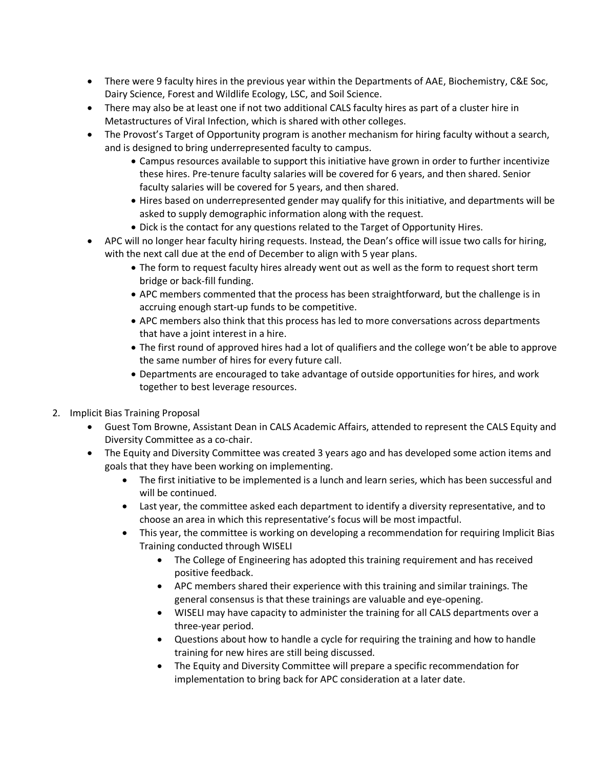- There were 9 faculty hires in the previous year within the Departments of AAE, Biochemistry, C&E Soc, Dairy Science, Forest and Wildlife Ecology, LSC, and Soil Science.
- There may also be at least one if not two additional CALS faculty hires as part of a cluster hire in Metastructures of Viral Infection, which is shared with other colleges.
- The Provost's Target of Opportunity program is another mechanism for hiring faculty without a search, and is designed to bring underrepresented faculty to campus.
	- Campus resources available to support this initiative have grown in order to further incentivize these hires. Pre-tenure faculty salaries will be covered for 6 years, and then shared. Senior faculty salaries will be covered for 5 years, and then shared.
	- Hires based on underrepresented gender may qualify for this initiative, and departments will be asked to supply demographic information along with the request.
	- Dick is the contact for any questions related to the Target of Opportunity Hires.
- APC will no longer hear faculty hiring requests. Instead, the Dean's office will issue two calls for hiring, with the next call due at the end of December to align with 5 year plans.
	- The form to request faculty hires already went out as well as the form to request short term bridge or back-fill funding.
	- APC members commented that the process has been straightforward, but the challenge is in accruing enough start-up funds to be competitive.
	- APC members also think that this process has led to more conversations across departments that have a joint interest in a hire.
	- The first round of approved hires had a lot of qualifiers and the college won't be able to approve the same number of hires for every future call.
	- Departments are encouraged to take advantage of outside opportunities for hires, and work together to best leverage resources.
- 2. Implicit Bias Training Proposal
	- Guest Tom Browne, Assistant Dean in CALS Academic Affairs, attended to represent the CALS Equity and Diversity Committee as a co-chair.
	- The Equity and Diversity Committee was created 3 years ago and has developed some action items and goals that they have been working on implementing.
		- The first initiative to be implemented is a lunch and learn series, which has been successful and will be continued.
		- Last year, the committee asked each department to identify a diversity representative, and to choose an area in which this representative's focus will be most impactful.
		- This year, the committee is working on developing a recommendation for requiring Implicit Bias Training conducted through WISELI
			- The College of Engineering has adopted this training requirement and has received positive feedback.
			- APC members shared their experience with this training and similar trainings. The general consensus is that these trainings are valuable and eye-opening.
			- WISELI may have capacity to administer the training for all CALS departments over a three-year period.
			- Questions about how to handle a cycle for requiring the training and how to handle training for new hires are still being discussed.
			- The Equity and Diversity Committee will prepare a specific recommendation for implementation to bring back for APC consideration at a later date.